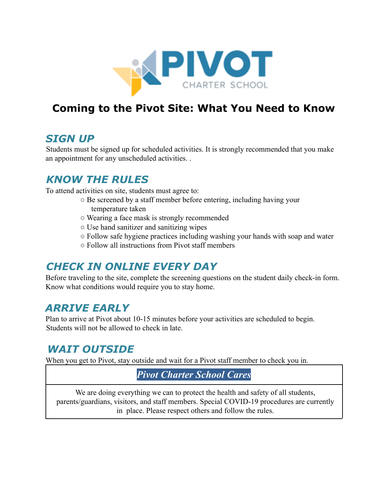

# **Coming to the Pivot Site: What You Need to Know**

### *SIGN UP*

Students must be signed up for scheduled activities. It is strongly recommended that you make an appointment for any unscheduled activities. .

## *KNOW THE RULES*

To attend activities on site, students must agree to:

- Be screened by a staff member before entering, including having your temperature taken
- Wearing a face mask is strongly recommended
- Use hand sanitizer and sanitizing wipes
- Follow safe hygiene practices including washing your hands with soap and water
- Follow all instructions from Pivot staff members

## *CHECK IN ONLINE EVERY DAY*

Before traveling to the site, complete the screening questions on the student daily check-in form. Know what conditions would require you to stay home.

## *ARRIVE EARLY*

Plan to arrive at Pivot about 10-15 minutes before your activities are scheduled to begin. Students will not be allowed to check in late.

## *WAIT OUTSIDE*

When you get to Pivot, stay outside and wait for a Pivot staff member to check you in.

### *Pivot Charter School Cares*

We are doing everything we can to protect the health and safety of all students, parents/guardians, visitors, and staff members. Special COVID-19 procedures are currently in place. Please respect others and follow the rules.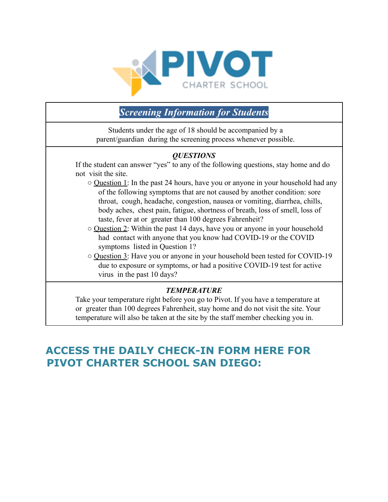

### *Screening Information for Students*

Students under the age of 18 should be accompanied by a parent/guardian during the screening process whenever possible.

#### *QUESTIONS*

If the student can answer "yes" to any of the following questions, stay home and do not visit the site.

- Question 1: In the past 24 hours, have you or anyone in your household had any of the following symptoms that are not caused by another condition: sore throat, cough, headache, congestion, nausea or vomiting, diarrhea, chills, body aches, chest pain, fatigue, shortness of breath, loss of smell, loss of taste, fever at or greater than 100 degrees Fahrenheit?
- Question 2: Within the past 14 days, have you or anyone in your household had contact with anyone that you know had COVID-19 or the COVID symptoms listed in Question 1?
- Question 3: Have you or anyone in your household been tested for COVID-19 due to exposure or symptoms, or had a positive COVID-19 test for active virus in the past 10 days?

#### *TEMPERATURE*

Take your temperature right before you go to Pivot. If you have a temperature at or greater than 100 degrees Fahrenheit, stay home and do not visit the site. Your temperature will also be taken at the site by the staff member checking you in.

## **ACCESS THE DAILY CHECK-IN FORM HERE FOR PIVOT CHARTER SCHOOL SAN DIEGO:**